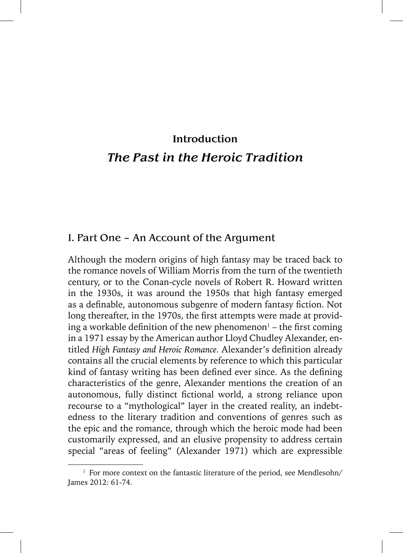## Introduction *The Past in the Heroic Tradition*

## I. Part One – An Account of the Argument

Although the modern origins of high fantasy may be traced back to the romance novels of William Morris from the turn of the twentieth century, or to the Conan-cycle novels of Robert R. Howard written in the 1930s, it was around the 1950s that high fantasy emerged as a definable, autonomous subgenre of modern fantasy fiction. Not long thereafter, in the 1970s, the first attempts were made at providing a workable definition of the new phenomenon $^{\text{1}}$  – the first coming in a 1971 essay by the American author Lloyd Chudley Alexander, entitled *High Fantasy and Heroic Romance*. Alexander's definition already contains all the crucial elements by reference to which this particular kind of fantasy writing has been defined ever since. As the defining characteristics of the genre, Alexander mentions the creation of an autonomous, fully distinct fictional world, a strong reliance upon recourse to a "mythological" layer in the created reality, an indebtedness to the literary tradition and conventions of genres such as the epic and the romance, through which the heroic mode had been customarily expressed, and an elusive propensity to address certain special "areas of feeling" (Alexander 1971) which are expressible

<sup>&</sup>lt;sup>1</sup> For more context on the fantastic literature of the period, see Mendlesohn/ James 2012: 61-74.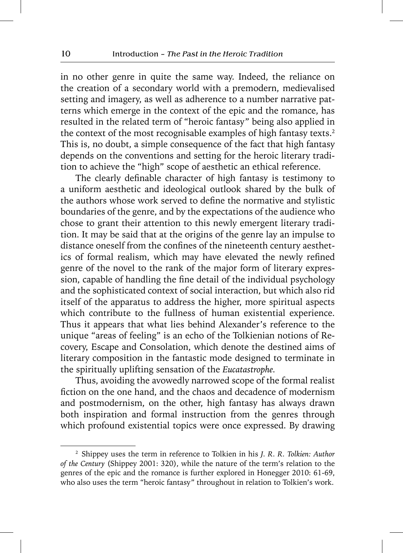in no other genre in quite the same way. Indeed, the reliance on the creation of a secondary world with a premodern, medievalised setting and imagery, as well as adherence to a number narrative patterns which emerge in the context of the epic and the romance, has resulted in the related term of "heroic fantasy" being also applied in the context of the most recognisable examples of high fantasy texts.<sup>2</sup> This is, no doubt, a simple consequence of the fact that high fantasy depends on the conventions and setting for the heroic literary tradition to achieve the "high" scope of aesthetic an ethical reference.

The clearly definable character of high fantasy is testimony to a uniform aesthetic and ideological outlook shared by the bulk of the authors whose work served to define the normative and stylistic boundaries of the genre, and by the expectations of the audience who chose to grant their attention to this newly emergent literary tradition. It may be said that at the origins of the genre lay an impulse to distance oneself from the confines of the nineteenth century aesthetics of formal realism, which may have elevated the newly refined genre of the novel to the rank of the major form of literary expression, capable of handling the fine detail of the individual psychology and the sophisticated context of social interaction, but which also rid itself of the apparatus to address the higher, more spiritual aspects which contribute to the fullness of human existential experience. Thus it appears that what lies behind Alexander's reference to the unique "areas of feeling" is an echo of the Tolkienian notions of Recovery, Escape and Consolation, which denote the destined aims of literary composition in the fantastic mode designed to terminate in the spiritually uplifting sensation of the *Eucatastrophe.* 

Thus, avoiding the avowedly narrowed scope of the formal realist fiction on the one hand, and the chaos and decadence of modernism and postmodernism, on the other, high fantasy has always drawn both inspiration and formal instruction from the genres through which profound existential topics were once expressed. By drawing

<sup>2</sup> Shippey uses the term in reference to Tolkien in his *J. R. R. Tolkien: Author of the Century* (Shippey 2001: 320), while the nature of the term's relation to the genres of the epic and the romance is further explored in Honegger 2010: 61-69, who also uses the term "heroic fantasy" throughout in relation to Tolkien's work.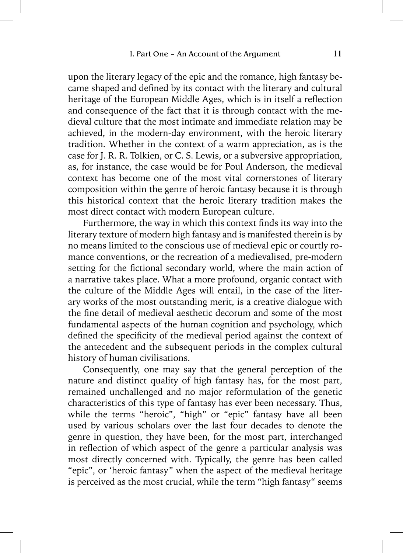upon the literary legacy of the epic and the romance, high fantasy became shaped and defined by its contact with the literary and cultural heritage of the European Middle Ages, which is in itself a reflection and consequence of the fact that it is through contact with the medieval culture that the most intimate and immediate relation may be achieved, in the modern-day environment, with the heroic literary tradition. Whether in the context of a warm appreciation, as is the case for J. R. R. Tolkien, or C. S. Lewis, or a subversive appropriation, as, for instance, the case would be for Poul Anderson, the medieval context has become one of the most vital cornerstones of literary composition within the genre of heroic fantasy because it is through this historical context that the heroic literary tradition makes the most direct contact with modern European culture.

Furthermore, the way in which this context finds its way into the literary texture of modern high fantasy and is manifested therein is by no means limited to the conscious use of medieval epic or courtly romance conventions, or the recreation of a medievalised, pre-modern setting for the fictional secondary world, where the main action of a narrative takes place. What a more profound, organic contact with the culture of the Middle Ages will entail, in the case of the literary works of the most outstanding merit, is a creative dialogue with the fine detail of medieval aesthetic decorum and some of the most fundamental aspects of the human cognition and psychology, which defined the specificity of the medieval period against the context of the antecedent and the subsequent periods in the complex cultural history of human civilisations.

Consequently, one may say that the general perception of the nature and distinct quality of high fantasy has, for the most part, remained unchallenged and no major reformulation of the genetic characteristics of this type of fantasy has ever been necessary. Thus, while the terms "heroic", "high" or "epic" fantasy have all been used by various scholars over the last four decades to denote the genre in question, they have been, for the most part, interchanged in reflection of which aspect of the genre a particular analysis was most directly concerned with. Typically, the genre has been called "epic", or 'heroic fantasy" when the aspect of the medieval heritage is perceived as the most crucial, while the term "high fantasy" seems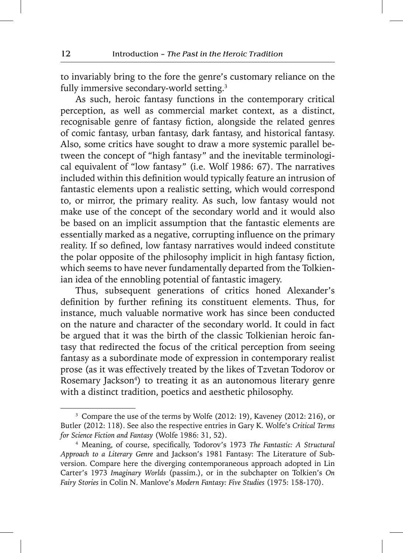to invariably bring to the fore the genre's customary reliance on the fully immersive secondary-world setting.<sup>3</sup>

As such, heroic fantasy functions in the contemporary critical perception, as well as commercial market context, as a distinct, recognisable genre of fantasy fiction, alongside the related genres of comic fantasy, urban fantasy, dark fantasy, and historical fantasy. Also, some critics have sought to draw a more systemic parallel between the concept of "high fantasy" and the inevitable terminological equivalent of "low fantasy" (i.e. Wolf 1986: 67). The narratives included within this definition would typically feature an intrusion of fantastic elements upon a realistic setting, which would correspond to, or mirror, the primary reality. As such, low fantasy would not make use of the concept of the secondary world and it would also be based on an implicit assumption that the fantastic elements are essentially marked as a negative, corrupting influence on the primary reality. If so defined, low fantasy narratives would indeed constitute the polar opposite of the philosophy implicit in high fantasy fiction, which seems to have never fundamentally departed from the Tolkienian idea of the ennobling potential of fantastic imagery.

Thus, subsequent generations of critics honed Alexander's definition by further refining its constituent elements. Thus, for instance, much valuable normative work has since been conducted on the nature and character of the secondary world. It could in fact be argued that it was the birth of the classic Tolkienian heroic fantasy that redirected the focus of the critical perception from seeing fantasy as a subordinate mode of expression in contemporary realist prose (as it was effectively treated by the likes of Tzvetan Todorov or Rosemary Jackson<sup>4</sup>) to treating it as an autonomous literary genre with a distinct tradition, poetics and aesthetic philosophy.

<sup>3</sup> Compare the use of the terms by Wolfe (2012: 19), Kaveney (2012: 216), or Butler (2012: 118). See also the respective entries in Gary K. Wolfe's *Critical Terms for Science Fiction and Fantasy* (Wolfe 1986: 31, 52).

<sup>&</sup>lt;sup>4</sup> Meaning, of course, specifically, Todorov's 1973 The Fantastic: A Structural *Approach to a Literary Genre* and Jackson's 1981 Fantasy: The Literature of Subversion. Compare here the diverging contemporaneous approach adopted in Lin Carter's 1973 *Imaginary Worlds* (passim.), or in the subchapter on Tolkien's *On Fairy Stories* in Colin N. Manlove's *Modern Fantasy: Five Studies* (1975: 158-170).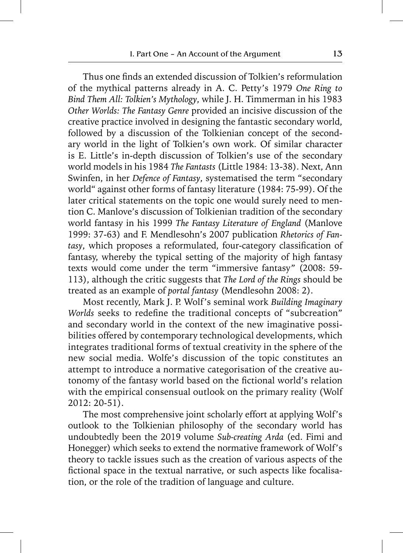Thus one finds an extended discussion of Tolkien's reformulation of the mythical patterns already in A. C. Petty's 1979 *One Ring to Bind Them All: Tolkien's Mythology*, while J. H. Timmerman in his 1983 *Other Worlds: The Fantasy Genre* provided an incisive discussion of the creative practice involved in designing the fantastic secondary world, followed by a discussion of the Tolkienian concept of the secondary world in the light of Tolkien's own work. Of similar character is E. Little's in-depth discussion of Tolkien's use of the secondary world models in his 1984 *The Fantasts* (Little 1984: 13-38). Next, Ann Swinfen, in her *Defence of Fantasy*, systematised the term "secondary world" against other forms of fantasy literature (1984: 75-99). Of the later critical statements on the topic one would surely need to mention C. Manlove's discussion of Tolkienian tradition of the secondary world fantasy in his 1999 *The Fantasy Literature of England* (Manlove 1999: 37-63) and F. Mendlesohn's 2007 publication *Rhetorics of Fan*tasy, which proposes a reformulated, four-category classification of fantasy, whereby the typical setting of the majority of high fantasy texts would come under the term "immersive fantasy" (2008: 59- 113), although the critic suggests that *The Lord of the Rings* should be treated as an example of *portal fantasy* (Mendlesohn 2008: 2).

Most recently, Mark J. P. Wolf's seminal work *Building Imaginary Worlds* seeks to redefine the traditional concepts of "subcreation" and secondary world in the context of the new imaginative possibilities offered by contemporary technological developments, which integrates traditional forms of textual creativity in the sphere of the new social media. Wolfe's discussion of the topic constitutes an attempt to introduce a normative categorisation of the creative autonomy of the fantasy world based on the fictional world's relation with the empirical consensual outlook on the primary reality (Wolf 2012: 20-51).

The most comprehensive joint scholarly effort at applying Wolf's outlook to the Tolkienian philosophy of the secondary world has undoubtedly been the 2019 volume *Sub-creating Arda* (ed. Fimi and Honegger) which seeks to extend the normative framework of Wolf's theory to tackle issues such as the creation of various aspects of the fictional space in the textual narrative, or such aspects like focalisation, or the role of the tradition of language and culture.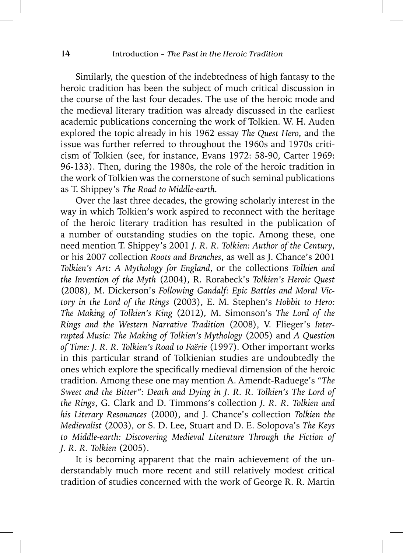Similarly, the question of the indebtedness of high fantasy to the heroic tradition has been the subject of much critical discussion in the course of the last four decades. The use of the heroic mode and the medieval literary tradition was already discussed in the earliest academic publications concerning the work of Tolkien. W. H. Auden explored the topic already in his 1962 essay *The Quest Hero*, and the issue was further referred to throughout the 1960s and 1970s criticism of Tolkien (see, for instance, Evans 1972: 58-90, Carter 1969: 96-133). Then, during the 1980s, the role of the heroic tradition in the work of Tolkien was the cornerstone of such seminal publications as T. Shippey's *The Road to Middle-earth.* 

Over the last three decades, the growing scholarly interest in the way in which Tolkien's work aspired to reconnect with the heritage of the heroic literary tradition has resulted in the publication of a number of outstanding studies on the topic. Among these, one need mention T. Shippey's 2001 *J. R. R. Tolkien: Author of the Century*, or his 2007 collection *Roots and Branches*, as well as J. Chance's 2001 *Tolkien's Art: A Mythology for England*, or the collections *Tolkien and the Invention of the Myth* (2004), R. Rorabeck's *Tolkien's Heroic Quest*  (2008)*,* M. Dickerson's *Following Gandalf: Epic Battles and Moral Victory in the Lord of the Rings* (2003), E. M. Stephen's *Hobbit to Hero: The Making of Tolkien's King* (2012)*,* M. Simonson's *The Lord of the Rings and the Western Narrative Tradition* (2008), V. Flieger's *Interrupted Music: The Making of Tolkien's Mythology* (2005) and *A Question of Time: J. R. R. Tolkien's Road to Faërie* (1997)*.* Other important works in this particular strand of Tolkienian studies are undoubtedly the ones which explore the specifically medieval dimension of the heroic tradition. Among these one may mention A. Amendt-Raduege's *"The Sweet and the Bitter": Death and Dying in J. R. R. Tolkien's The Lord of the Rings*, G. Clark and D. Timmons's collection *J. R. R. Tolkien and his Literary Resonances* (2000), and J. Chance's collection *Tolkien the Medievalist* (2003)*,* or S. D. Lee, Stuart and D. E. Solopova's *The Keys to Middle-earth: Discovering Medieval Literature Through the Fiction of J. R. R. Tolkien* (2005).

It is becoming apparent that the main achievement of the understandably much more recent and still relatively modest critical tradition of studies concerned with the work of George R. R. Martin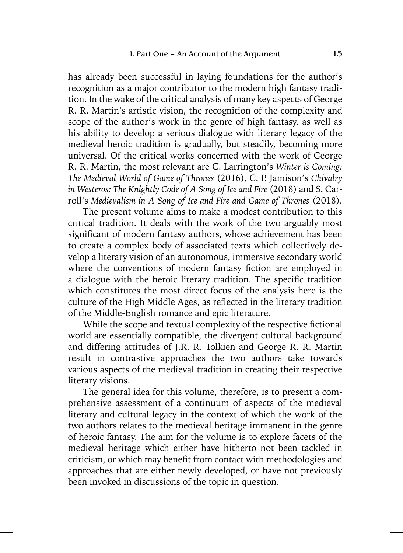has already been successful in laying foundations for the author's recognition as a major contributor to the modern high fantasy tradition. In the wake of the critical analysis of many key aspects of George R. R. Martin's artistic vision, the recognition of the complexity and scope of the author's work in the genre of high fantasy, as well as his ability to develop a serious dialogue with literary legacy of the medieval heroic tradition is gradually, but steadily, becoming more universal. Of the critical works concerned with the work of George R. R. Martin, the most relevant are C. Larrington's *Winter is Coming: The Medieval World of Game of Thrones* (2016)*,* C. P. Jamison's *Chivalry in Westeros: The Knightly Code of A Song of Ice and Fire* (2018) and S. Carroll's *Medievalism in A Song of Ice and Fire and Game of Thrones* (2018)*.*

The present volume aims to make a modest contribution to this critical tradition. It deals with the work of the two arguably most significant of modern fantasy authors, whose achievement has been to create a complex body of associated texts which collectively develop a literary vision of an autonomous, immersive secondary world where the conventions of modern fantasy fiction are employed in a dialogue with the heroic literary tradition. The specific tradition which constitutes the most direct focus of the analysis here is the culture of the High Middle Ages, as reflected in the literary tradition of the Middle-English romance and epic literature.

While the scope and textual complexity of the respective fictional world are essentially compatible, the divergent cultural background and differing attitudes of J.R. R. Tolkien and George R. R. Martin result in contrastive approaches the two authors take towards various aspects of the medieval tradition in creating their respective literary visions.

The general idea for this volume, therefore, is to present a comprehensive assessment of a continuum of aspects of the medieval literary and cultural legacy in the context of which the work of the two authors relates to the medieval heritage immanent in the genre of heroic fantasy. The aim for the volume is to explore facets of the medieval heritage which either have hitherto not been tackled in criticism, or which may benefit from contact with methodologies and approaches that are either newly developed, or have not previously been invoked in discussions of the topic in question.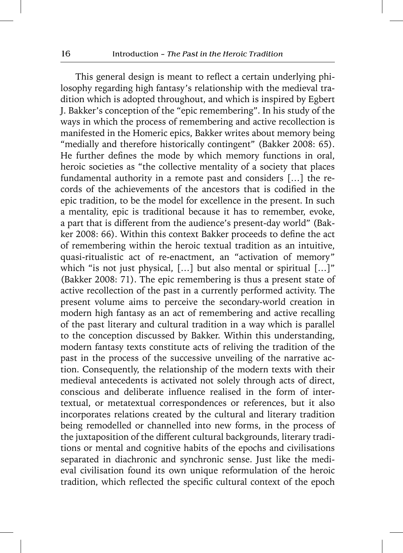This general design is meant to reflect a certain underlying philosophy regarding high fantasy's relationship with the medieval tradition which is adopted throughout, and which is inspired by Egbert J. Bakker's conception of the "epic remembering". In his study of the ways in which the process of remembering and active recollection is manifested in the Homeric epics, Bakker writes about memory being "medially and therefore historically contingent" (Bakker 2008: 65). He further defines the mode by which memory functions in oral, heroic societies as "the collective mentality of a society that places fundamental authority in a remote past and considers […] the records of the achievements of the ancestors that is codified in the epic tradition, to be the model for excellence in the present. In such a mentality, epic is traditional because it has to remember, evoke, a part that is different from the audience's present-day world" (Bakker 2008: 66). Within this context Bakker proceeds to define the act of remembering within the heroic textual tradition as an intuitive, quasi-ritualistic act of re-enactment, an "activation of memory" which "is not just physical, [...] but also mental or spiritual [...]" (Bakker 2008: 71). The epic remembering is thus a present state of active recollection of the past in a currently performed activity. The present volume aims to perceive the secondary-world creation in modern high fantasy as an act of remembering and active recalling of the past literary and cultural tradition in a way which is parallel to the conception discussed by Bakker. Within this understanding, modern fantasy texts constitute acts of reliving the tradition of the past in the process of the successive unveiling of the narrative action. Consequently, the relationship of the modern texts with their medieval antecedents is activated not solely through acts of direct, conscious and deliberate influence realised in the form of intertextual, or metatextual correspondences or references, but it also incorporates relations created by the cultural and literary tradition being remodelled or channelled into new forms, in the process of the juxtaposition of the different cultural backgrounds, literary traditions or mental and cognitive habits of the epochs and civilisations separated in diachronic and synchronic sense. Just like the medieval civilisation found its own unique reformulation of the heroic tradition, which reflected the specific cultural context of the epoch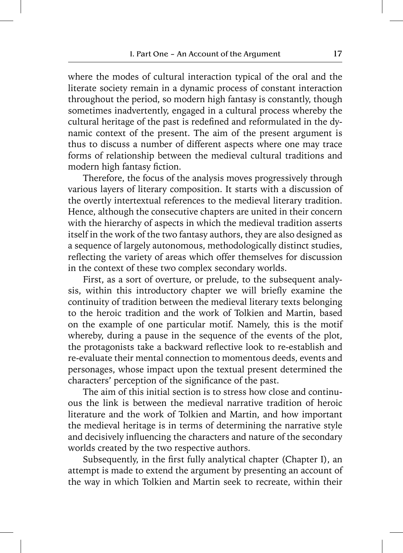where the modes of cultural interaction typical of the oral and the literate society remain in a dynamic process of constant interaction throughout the period, so modern high fantasy is constantly, though sometimes inadvertently, engaged in a cultural process whereby the cultural heritage of the past is redefined and reformulated in the dynamic context of the present. The aim of the present argument is thus to discuss a number of different aspects where one may trace forms of relationship between the medieval cultural traditions and modern high fantasy fiction.

Therefore, the focus of the analysis moves progressively through various layers of literary composition. It starts with a discussion of the overtly intertextual references to the medieval literary tradition. Hence, although the consecutive chapters are united in their concern with the hierarchy of aspects in which the medieval tradition asserts itself in the work of the two fantasy authors, they are also designed as a sequence of largely autonomous, methodologically distinct studies, reflecting the variety of areas which offer themselves for discussion in the context of these two complex secondary worlds.

First, as a sort of overture, or prelude, to the subsequent analysis, within this introductory chapter we will briefly examine the continuity of tradition between the medieval literary texts belonging to the heroic tradition and the work of Tolkien and Martin, based on the example of one particular motif. Namely, this is the motif whereby, during a pause in the sequence of the events of the plot, the protagonists take a backward reflective look to re-establish and re-evaluate their mental connection to momentous deeds, events and personages, whose impact upon the textual present determined the characters' perception of the significance of the past.

The aim of this initial section is to stress how close and continuous the link is between the medieval narrative tradition of heroic literature and the work of Tolkien and Martin, and how important the medieval heritage is in terms of determining the narrative style and decisively influencing the characters and nature of the secondary worlds created by the two respective authors.

Subsequently, in the first fully analytical chapter (Chapter I), an attempt is made to extend the argument by presenting an account of the way in which Tolkien and Martin seek to recreate, within their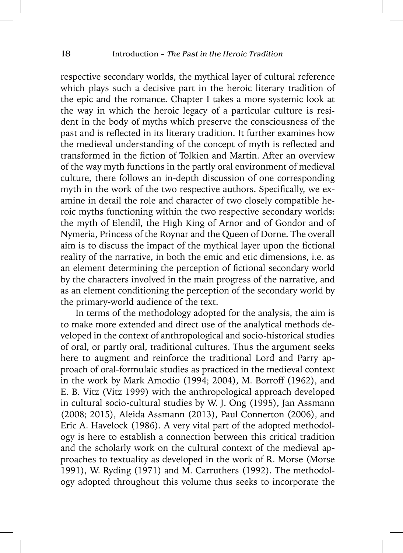respective secondary worlds, the mythical layer of cultural reference which plays such a decisive part in the heroic literary tradition of the epic and the romance. Chapter I takes a more systemic look at the way in which the heroic legacy of a particular culture is resident in the body of myths which preserve the consciousness of the past and is reflected in its literary tradition. It further examines how the medieval understanding of the concept of myth is reflected and transformed in the fiction of Tolkien and Martin. After an overview of the way myth functions in the partly oral environment of medieval culture, there follows an in-depth discussion of one corresponding myth in the work of the two respective authors. Specifically, we examine in detail the role and character of two closely compatible heroic myths functioning within the two respective secondary worlds: the myth of Elendil, the High King of Arnor and of Gondor and of Nymeria, Princess of the Roynar and the Queen of Dorne. The overall aim is to discuss the impact of the mythical layer upon the fictional reality of the narrative, in both the emic and etic dimensions, i.e. as an element determining the perception of fictional secondary world by the characters involved in the main progress of the narrative, and as an element conditioning the perception of the secondary world by the primary-world audience of the text.

In terms of the methodology adopted for the analysis, the aim is to make more extended and direct use of the analytical methods developed in the context of anthropological and socio-historical studies of oral, or partly oral, traditional cultures. Thus the argument seeks here to augment and reinforce the traditional Lord and Parry approach of oral-formulaic studies as practiced in the medieval context in the work by Mark Amodio (1994; 2004), M. Borroff (1962), and E. B. Vitz (Vitz 1999) with the anthropological approach developed in cultural socio-cultural studies by W. J. Ong (1995), Jan Assmann (2008; 2015), Aleida Assmann (2013), Paul Connerton (2006), and Eric A. Havelock (1986). A very vital part of the adopted methodology is here to establish a connection between this critical tradition and the scholarly work on the cultural context of the medieval approaches to textuality as developed in the work of R. Morse (Morse 1991), W. Ryding (1971) and M. Carruthers (1992). The methodology adopted throughout this volume thus seeks to incorporate the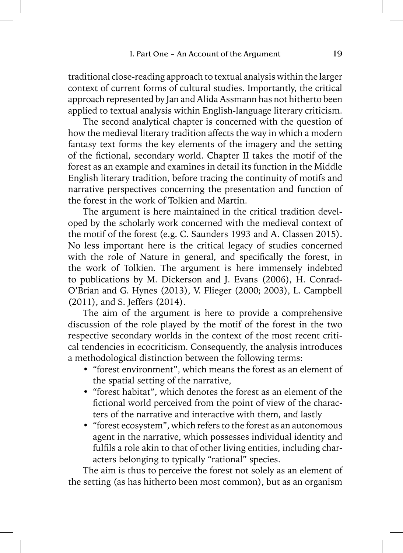traditional close-reading approach to textual analysis within the larger context of current forms of cultural studies. Importantly, the critical approach represented by Jan and Alida Assmann has not hitherto been applied to textual analysis within English-language literary criticism.

The second analytical chapter is concerned with the question of how the medieval literary tradition affects the way in which a modern fantasy text forms the key elements of the imagery and the setting of the fictional, secondary world. Chapter II takes the motif of the forest as an example and examines in detail its function in the Middle English literary tradition, before tracing the continuity of motifs and narrative perspectives concerning the presentation and function of the forest in the work of Tolkien and Martin.

The argument is here maintained in the critical tradition developed by the scholarly work concerned with the medieval context of the motif of the forest (e.g. C. Saunders 1993 and A. Classen 2015). No less important here is the critical legacy of studies concerned with the role of Nature in general, and specifically the forest, in the work of Tolkien. The argument is here immensely indebted to publications by M. Dickerson and J. Evans (2006), H. Conrad-O'Brian and G. Hynes (2013), V. Flieger (2000; 2003), L. Campbell (2011), and S. Jeffers (2014).

The aim of the argument is here to provide a comprehensive discussion of the role played by the motif of the forest in the two respective secondary worlds in the context of the most recent critical tendencies in ecocriticism. Consequently, the analysis introduces a methodological distinction between the following terms:

- "forest environment", which means the forest as an element of the spatial setting of the narrative,
- "forest habitat", which denotes the forest as an element of the fictional world perceived from the point of view of the characters of the narrative and interactive with them, and lastly
- "forest ecosystem", which refers to the forest as an autonomous agent in the narrative, which possesses individual identity and fulfils a role akin to that of other living entities, including characters belonging to typically "rational" species.

The aim is thus to perceive the forest not solely as an element of the setting (as has hitherto been most common), but as an organism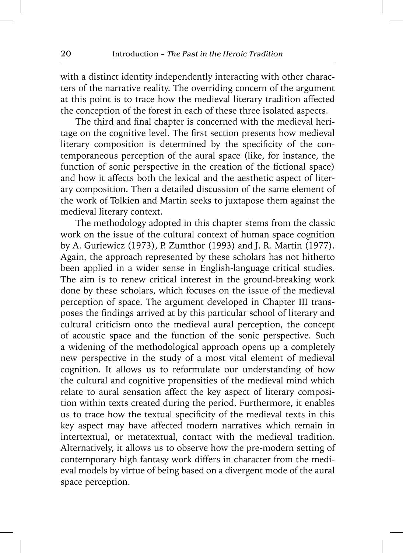with a distinct identity independently interacting with other characters of the narrative reality. The overriding concern of the argument at this point is to trace how the medieval literary tradition affected the conception of the forest in each of these three isolated aspects.

The third and final chapter is concerned with the medieval heritage on the cognitive level. The first section presents how medieval literary composition is determined by the specificity of the contemporaneous perception of the aural space (like, for instance, the function of sonic perspective in the creation of the fictional space) and how it affects both the lexical and the aesthetic aspect of literary composition. Then a detailed discussion of the same element of the work of Tolkien and Martin seeks to juxtapose them against the medieval literary context.

The methodology adopted in this chapter stems from the classic work on the issue of the cultural context of human space cognition by A. Guriewicz (1973), P. Zumthor (1993) and J. R. Martin (1977). Again, the approach represented by these scholars has not hitherto been applied in a wider sense in English-language critical studies. The aim is to renew critical interest in the ground-breaking work done by these scholars, which focuses on the issue of the medieval perception of space. The argument developed in Chapter III transposes the findings arrived at by this particular school of literary and cultural criticism onto the medieval aural perception, the concept of acoustic space and the function of the sonic perspective. Such a widening of the methodological approach opens up a completely new perspective in the study of a most vital element of medieval cognition. It allows us to reformulate our understanding of how the cultural and cognitive propensities of the medieval mind which relate to aural sensation affect the key aspect of literary composition within texts created during the period. Furthermore, it enables us to trace how the textual specificity of the medieval texts in this key aspect may have affected modern narratives which remain in intertextual, or metatextual, contact with the medieval tradition. Alternatively, it allows us to observe how the pre-modern setting of contemporary high fantasy work differs in character from the medieval models by virtue of being based on a divergent mode of the aural space perception.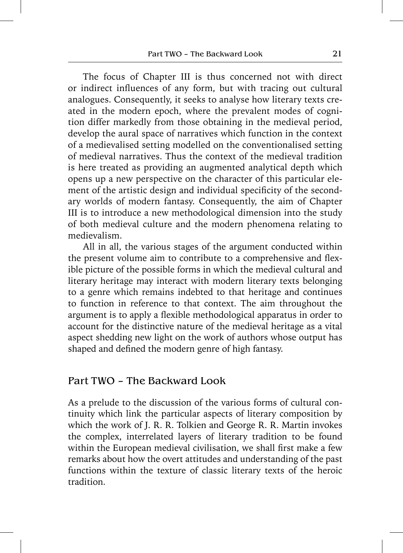The focus of Chapter III is thus concerned not with direct or indirect influences of any form, but with tracing out cultural analogues. Consequently, it seeks to analyse how literary texts created in the modern epoch, where the prevalent modes of cognition differ markedly from those obtaining in the medieval period, develop the aural space of narratives which function in the context of a medievalised setting modelled on the conventionalised setting of medieval narratives. Thus the context of the medieval tradition is here treated as providing an augmented analytical depth which opens up a new perspective on the character of this particular element of the artistic design and individual specificity of the secondary worlds of modern fantasy. Consequently, the aim of Chapter III is to introduce a new methodological dimension into the study of both medieval culture and the modern phenomena relating to medievalism.

All in all, the various stages of the argument conducted within the present volume aim to contribute to a comprehensive and flexible picture of the possible forms in which the medieval cultural and literary heritage may interact with modern literary texts belonging to a genre which remains indebted to that heritage and continues to function in reference to that context. The aim throughout the argument is to apply a flexible methodological apparatus in order to account for the distinctive nature of the medieval heritage as a vital aspect shedding new light on the work of authors whose output has shaped and defined the modern genre of high fantasy.

## Part TWO - The Backward Look

As a prelude to the discussion of the various forms of cultural continuity which link the particular aspects of literary composition by which the work of J. R. R. Tolkien and George R. R. Martin invokes the complex, interrelated layers of literary tradition to be found within the European medieval civilisation, we shall first make a few remarks about how the overt attitudes and understanding of the past functions within the texture of classic literary texts of the heroic tradition.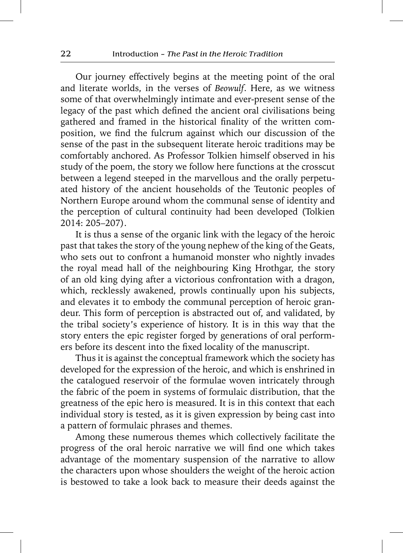Our journey effectively begins at the meeting point of the oral and literate worlds, in the verses of *Beowulf*. Here, as we witness some of that overwhelmingly intimate and ever-present sense of the legacy of the past which defined the ancient oral civilisations being gathered and framed in the historical finality of the written composition, we find the fulcrum against which our discussion of the sense of the past in the subsequent literate heroic traditions may be comfortably anchored. As Professor Tolkien himself observed in his study of the poem, the story we follow here functions at the crosscut between a legend steeped in the marvellous and the orally perpetuated history of the ancient households of the Teutonic peoples of Northern Europe around whom the communal sense of identity and the perception of cultural continuity had been developed (Tolkien 2014: 205–207).

It is thus a sense of the organic link with the legacy of the heroic past that takes the story of the young nephew of the king of the Geats, who sets out to confront a humanoid monster who nightly invades the royal mead hall of the neighbouring King Hrothgar, the story of an old king dying after a victorious confrontation with a dragon, which, recklessly awakened, prowls continually upon his subjects, and elevates it to embody the communal perception of heroic grandeur. This form of perception is abstracted out of, and validated, by the tribal society's experience of history. It is in this way that the story enters the epic register forged by generations of oral performers before its descent into the fixed locality of the manuscript.

Thus it is against the conceptual framework which the society has developed for the expression of the heroic, and which is enshrined in the catalogued reservoir of the formulae woven intricately through the fabric of the poem in systems of formulaic distribution, that the greatness of the epic hero is measured. It is in this context that each individual story is tested, as it is given expression by being cast into a pattern of formulaic phrases and themes.

Among these numerous themes which collectively facilitate the progress of the oral heroic narrative we will find one which takes advantage of the momentary suspension of the narrative to allow the characters upon whose shoulders the weight of the heroic action is bestowed to take a look back to measure their deeds against the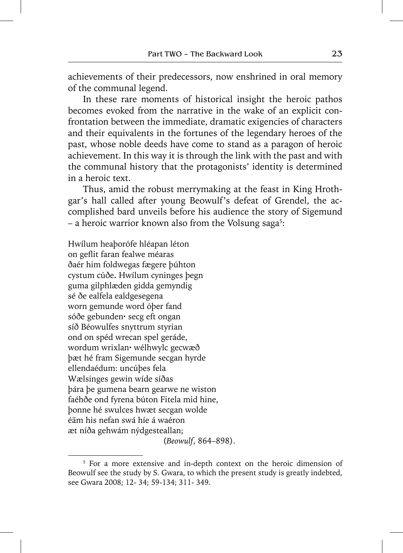achievements of their predecessors, now enshrined in oral memory of the communal legend.

In these rare moments of historical insight the heroic pathos becomes evoked from the narrative in the wake of an explicit confrontation between the immediate, dramatic exigencies of characters and their equivalents in the fortunes of the legendary heroes of the past, whose noble deeds have come to stand as a paragon of heroic achievement. In this way it is through the link with the past and with the communal history that the protagonists' identity is determined in a heroic text.

Thus, amid the robust merrymaking at the feast in King Hrothgar's hall called after young Beowulf's defeat of Grendel, the accomplished bard unveils before his audience the story of Sigemund – a heroic warrior known also from the Volsung saga<sup>5</sup>:

Hwílum heaþorófe hléapan léton on geflit faran fealwe méaras ðaér him foldwegas fægere þúhton cystum cúðe**.** Hwílum cyninges þegn guma gilphlæden gidda gemyndig sé ðe ealfela ealdgesegena worn gemunde word óþer fand sóðe gebunden**·** secg eft ongan síð Béowulfes snyttrum styrian ond on spéd wrecan spel geráde, wordum wrixlan**·** wélhwylc gecwæð þæt hé fram Sigemunde secgan hyrde ellendaédum: uncúþes fela Wælsinges gewin wíde síðas þára þe gumena bearn gearwe ne wiston faéhðe ond fyrena búton Fitela mid hine, þonne hé swulces hwæt secgan wolde éäm his nefan swá híe á waéron æt níða gehwám nýdgesteallan; (*Beowulf*, 864–898).

<sup>&</sup>lt;sup>5</sup> For a more extensive and in-depth context on the heroic dimension of Beowulf see the study by S. Gwara, to which the present study is greatly indebted, see Gwara 2008; 12- 34; 59-134; 311- 349.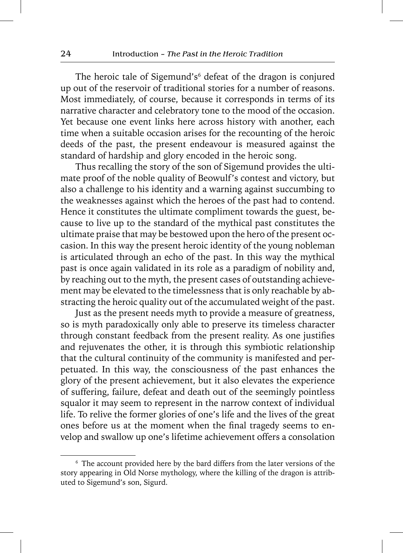The heroic tale of Sigemund's<sup>6</sup> defeat of the dragon is conjured up out of the reservoir of traditional stories for a number of reasons. Most immediately, of course, because it corresponds in terms of its narrative character and celebratory tone to the mood of the occasion. Yet because one event links here across history with another, each time when a suitable occasion arises for the recounting of the heroic deeds of the past, the present endeavour is measured against the standard of hardship and glory encoded in the heroic song.

Thus recalling the story of the son of Sigemund provides the ultimate proof of the noble quality of Beowulf's contest and victory, but also a challenge to his identity and a warning against succumbing to the weaknesses against which the heroes of the past had to contend. Hence it constitutes the ultimate compliment towards the guest, because to live up to the standard of the mythical past constitutes the ultimate praise that may be bestowed upon the hero of the present occasion. In this way the present heroic identity of the young nobleman is articulated through an echo of the past. In this way the mythical past is once again validated in its role as a paradigm of nobility and, by reaching out to the myth, the present cases of outstanding achievement may be elevated to the timelessness that is only reachable by abstracting the heroic quality out of the accumulated weight of the past.

Just as the present needs myth to provide a measure of greatness, so is myth paradoxically only able to preserve its timeless character through constant feedback from the present reality. As one justifies and rejuvenates the other, it is through this symbiotic relationship that the cultural continuity of the community is manifested and perpetuated. In this way, the consciousness of the past enhances the glory of the present achievement, but it also elevates the experience of suffering, failure, defeat and death out of the seemingly pointless squalor it may seem to represent in the narrow context of individual life. To relive the former glories of one's life and the lives of the great ones before us at the moment when the final tragedy seems to envelop and swallow up one's lifetime achievement offers a consolation

<sup>6</sup> The account provided here by the bard differs from the later versions of the story appearing in Old Norse mythology, where the killing of the dragon is attributed to Sigemund's son, Sigurd.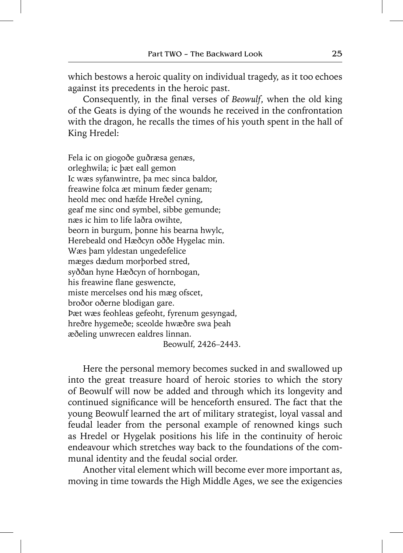which bestows a heroic quality on individual tragedy, as it too echoes against its precedents in the heroic past.

Consequently, in the final verses of *Beowulf*, when the old king of the Geats is dying of the wounds he received in the confrontation with the dragon, he recalls the times of his youth spent in the hall of King Hredel:

Fela ic on giogoðe guðræsa genæs, orleghwila; ic þæt eall gemon Ic wæs syfanwintre, þa mec sinca baldor, freawine folca æt minum fæder genam; heold mec ond hæfde Hreðel cyning, geaf me sinc ond symbel, sibbe gemunde; næs ic him to life laðra owihte, beorn in burgum, þonne his bearna hwylc, Herebeald ond Hæðcyn oððe Hygelac min. Wæs þam yldestan ungedefelice mæges dædum morþorbed stred, syððan hyne Hæðcyn of hornbogan, his freawine flane geswencte, miste mercelses ond his mæg ofscet, broðor oðerne blodigan gare. Þæt wæs feohleas gefeoht, fyrenum gesyngad, hreðre hygemeðe; sceolde hwæðre swa þeah æðeling unwrecen ealdres linnan. Beowulf, 2426–2443.

Here the personal memory becomes sucked in and swallowed up into the great treasure hoard of heroic stories to which the story of Beowulf will now be added and through which its longevity and continued significance will be henceforth ensured. The fact that the young Beowulf learned the art of military strategist, loyal vassal and feudal leader from the personal example of renowned kings such as Hredel or Hygelak positions his life in the continuity of heroic endeavour which stretches way back to the foundations of the communal identity and the feudal social order.

Another vital element which will become ever more important as, moving in time towards the High Middle Ages, we see the exigencies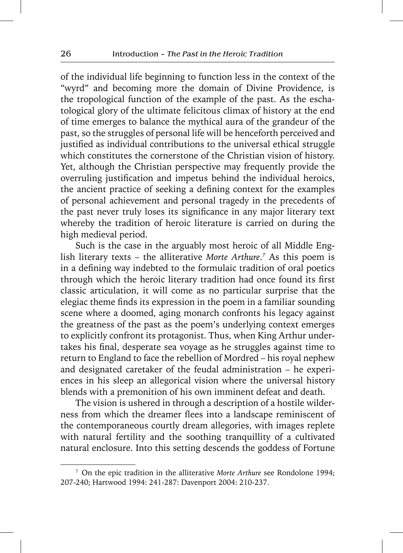of the individual life beginning to function less in the context of the "wyrd" and becoming more the domain of Divine Providence, is the tropological function of the example of the past. As the eschatological glory of the ultimate felicitous climax of history at the end of time emerges to balance the mythical aura of the grandeur of the past, so the struggles of personal life will be henceforth perceived and justified as individual contributions to the universal ethical struggle which constitutes the cornerstone of the Christian vision of history. Yet, although the Christian perspective may frequently provide the overruling justification and impetus behind the individual heroics, the ancient practice of seeking a defining context for the examples of personal achievement and personal tragedy in the precedents of the past never truly loses its significance in any major literary text whereby the tradition of heroic literature is carried on during the high medieval period.

Such is the case in the arguably most heroic of all Middle English literary texts – the alliterative *Morte Arthure*. *7* As this poem is in a defining way indebted to the formulaic tradition of oral poetics through which the heroic literary tradition had once found its first classic articulation, it will come as no particular surprise that the elegiac theme finds its expression in the poem in a familiar sounding scene where a doomed, aging monarch confronts his legacy against the greatness of the past as the poem's underlying context emerges to explicitly confront its protagonist. Thus, when King Arthur undertakes his final, desperate sea voyage as he struggles against time to return to England to face the rebellion of Mordred – his royal nephew and designated caretaker of the feudal administration – he experiences in his sleep an allegorical vision where the universal history blends with a premonition of his own imminent defeat and death.

The vision is ushered in through a description of a hostile wilderness from which the dreamer flees into a landscape reminiscent of the contemporaneous courtly dream allegories, with images replete with natural fertility and the soothing tranquillity of a cultivated natural enclosure. Into this setting descends the goddess of Fortune

<sup>7</sup> On the epic tradition in the alliterative *Morte Arthure* see Rondolone 1994; 207-240; Hartwood 1994: 241-287: Davenport 2004: 210-237.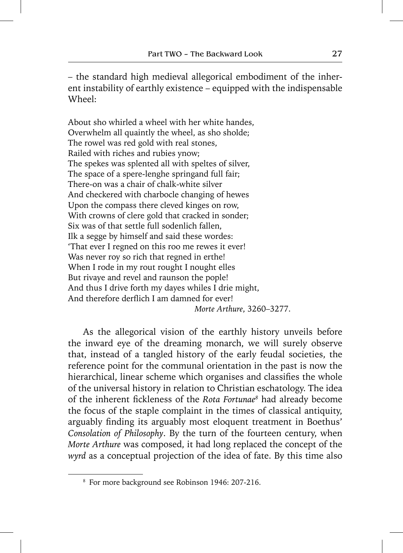– the standard high medieval allegorical embodiment of the inherent instability of earthly existence – equipped with the indispensable Wheel:

About sho whirled a wheel with her white handes, Overwhelm all quaintly the wheel, as sho sholde; The rowel was red gold with real stones, Railed with riches and rubies ynow; The spekes was splented all with speltes of silver, The space of a spere-lenghe springand full fair; There-on was a chair of chalk-white silver And checkered with charbocle changing of hewes Upon the compass there cleved kinges on row, With crowns of clere gold that cracked in sonder; Six was of that settle full sodenlich fallen, Ilk a segge by himself and said these wordes: 'That ever I regned on this roo me rewes it ever! Was never roy so rich that regned in erthe! When I rode in my rout rought I nought elles But rivaye and revel and raunson the pople! And thus I drive forth my dayes whiles I drie might, And therefore derflich I am damned for ever!  *Morte Arthure*, 3260–3277.

As the allegorical vision of the earthly history unveils before the inward eye of the dreaming monarch, we will surely observe that, instead of a tangled history of the early feudal societies, the reference point for the communal orientation in the past is now the hierarchical, linear scheme which organises and classifies the whole of the universal history in relation to Christian eschatology. The idea of the inherent fickleness of the *Rota Fortunae<sup>8</sup>* had already become the focus of the staple complaint in the times of classical antiquity, arguably finding its arguably most eloquent treatment in Boethus' *Consolation of Philosophy*. By the turn of the fourteen century, when *Morte Arthure* was composed, it had long replaced the concept of the *wyrd* as a conceptual projection of the idea of fate. By this time also

<sup>8</sup> For more background see Robinson 1946: 207-216.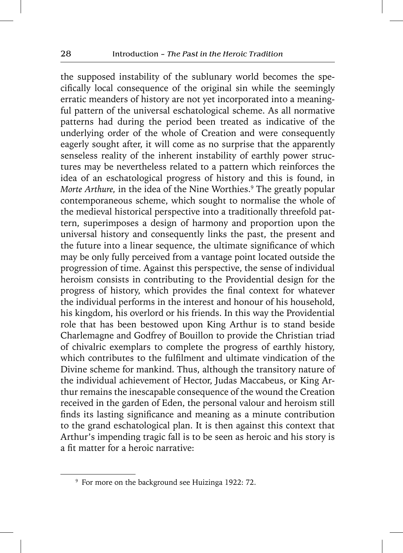the supposed instability of the sublunary world becomes the specifically local consequence of the original sin while the seemingly erratic meanders of history are not yet incorporated into a meaningful pattern of the universal eschatological scheme. As all normative patterns had during the period been treated as indicative of the underlying order of the whole of Creation and were consequently eagerly sought after, it will come as no surprise that the apparently senseless reality of the inherent instability of earthly power structures may be nevertheless related to a pattern which reinforces the idea of an eschatological progress of history and this is found, in *Morte Arthure,* in the idea of the Nine Worthies.9 The greatly popular contemporaneous scheme, which sought to normalise the whole of the medieval historical perspective into a traditionally threefold pattern, superimposes a design of harmony and proportion upon the universal history and consequently links the past, the present and the future into a linear sequence, the ultimate significance of which may be only fully perceived from a vantage point located outside the progression of time. Against this perspective, the sense of individual heroism consists in contributing to the Providential design for the progress of history, which provides the final context for whatever the individual performs in the interest and honour of his household, his kingdom, his overlord or his friends. In this way the Providential role that has been bestowed upon King Arthur is to stand beside Charlemagne and Godfrey of Bouillon to provide the Christian triad of chivalric exemplars to complete the progress of earthly history, which contributes to the fulfilment and ultimate vindication of the Divine scheme for mankind. Thus, although the transitory nature of the individual achievement of Hector, Judas Maccabeus, or King Arthur remains the inescapable consequence of the wound the Creation received in the garden of Eden, the personal valour and heroism still finds its lasting significance and meaning as a minute contribution to the grand eschatological plan. It is then against this context that Arthur's impending tragic fall is to be seen as heroic and his story is a fit matter for a heroic narrative:

<sup>9</sup> For more on the background see Huizinga 1922: 72.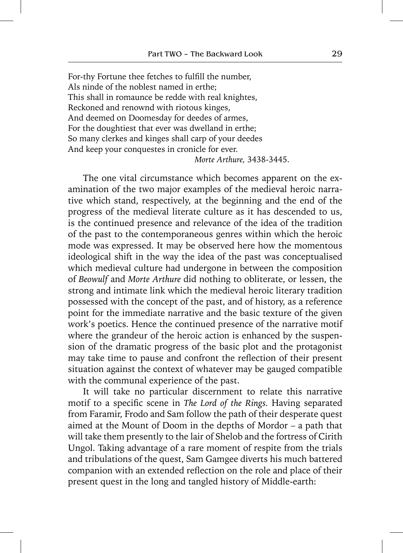For-thy Fortune thee fetches to fulfill the number, Als ninde of the noblest named in erthe; This shall in romaunce be redde with real knightes, Reckoned and renownd with riotous kinges, And deemed on Doomesday for deedes of armes, For the doughtiest that ever was dwelland in erthe; So many clerkes and kinges shall carp of your deedes And keep your conquestes in cronicle for ever.  *Morte Arthure,* 3438-3445.

The one vital circumstance which becomes apparent on the examination of the two major examples of the medieval heroic narrative which stand, respectively, at the beginning and the end of the progress of the medieval literate culture as it has descended to us, is the continued presence and relevance of the idea of the tradition of the past to the contemporaneous genres within which the heroic mode was expressed. It may be observed here how the momentous ideological shift in the way the idea of the past was conceptualised which medieval culture had undergone in between the composition of *Beowulf* and *Morte Arthure* did nothing to obliterate, or lessen, the strong and intimate link which the medieval heroic literary tradition possessed with the concept of the past, and of history, as a reference point for the immediate narrative and the basic texture of the given work's poetics. Hence the continued presence of the narrative motif where the grandeur of the heroic action is enhanced by the suspension of the dramatic progress of the basic plot and the protagonist may take time to pause and confront the reflection of their present situation against the context of whatever may be gauged compatible with the communal experience of the past.

It will take no particular discernment to relate this narrative motif to a specific scene in *The Lord of the Rings*. Having separated from Faramir, Frodo and Sam follow the path of their desperate quest aimed at the Mount of Doom in the depths of Mordor – a path that will take them presently to the lair of Shelob and the fortress of Cirith Ungol. Taking advantage of a rare moment of respite from the trials and tribulations of the quest, Sam Gamgee diverts his much battered companion with an extended reflection on the role and place of their present quest in the long and tangled history of Middle-earth: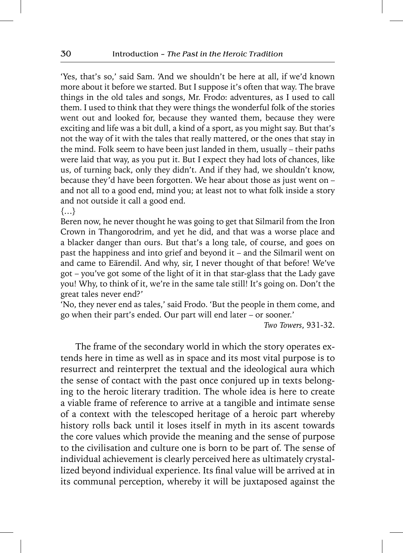'Yes, that's so,' said Sam. 'And we shouldn't be here at all, if we'd known more about it before we started. But I suppose it's often that way. The brave things in the old tales and songs, Mr. Frodo: adventures, as I used to call them. I used to think that they were things the wonderful folk of the stories went out and looked for, because they wanted them, because they were exciting and life was a bit dull, a kind of a sport, as you might say. But that's not the way of it with the tales that really mattered, or the ones that stay in the mind. Folk seem to have been just landed in them, usually – their paths were laid that way, as you put it. But I expect they had lots of chances, like us, of turning back, only they didn't. And if they had, we shouldn't know, because they'd have been forgotten. We hear about those as just went on – and not all to a good end, mind you; at least not to what folk inside a story and not outside it call a good end.

{…}

Beren now, he never thought he was going to get that Silmaril from the Iron Crown in Thangorodrim, and yet he did, and that was a worse place and a blacker danger than ours. But that's a long tale, of course, and goes on past the happiness and into grief and beyond it – and the Silmaril went on and came to Eärendil. And why, sir, I never thought of that before! We've got – you've got some of the light of it in that star-glass that the Lady gave you! Why, to think of it, we're in the same tale still! It's going on. Don't the great tales never end?'

'No, they never end as tales,' said Frodo. 'But the people in them come, and go when their part's ended. Our part will end later – or sooner.'

*Two Towers*, 931-32.

The frame of the secondary world in which the story operates extends here in time as well as in space and its most vital purpose is to resurrect and reinterpret the textual and the ideological aura which the sense of contact with the past once conjured up in texts belonging to the heroic literary tradition. The whole idea is here to create a viable frame of reference to arrive at a tangible and intimate sense of a context with the telescoped heritage of a heroic part whereby history rolls back until it loses itself in myth in its ascent towards the core values which provide the meaning and the sense of purpose to the civilisation and culture one is born to be part of. The sense of individual achievement is clearly perceived here as ultimately crystallized beyond individual experience. Its final value will be arrived at in its communal perception, whereby it will be juxtaposed against the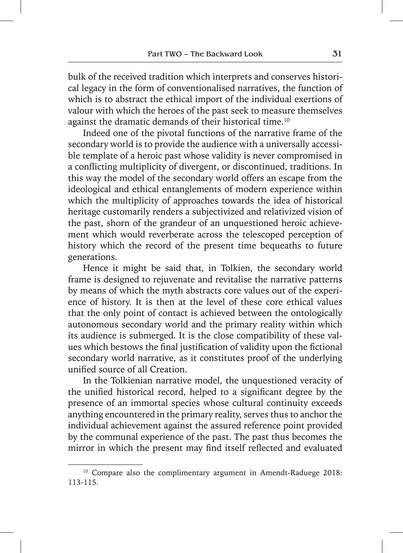bulk of the received tradition which interprets and conserves historical legacy in the form of conventionalised narratives, the function of which is to abstract the ethical import of the individual exertions of valour with which the heroes of the past seek to measure themselves against the dramatic demands of their historical time.10

Indeed one of the pivotal functions of the narrative frame of the secondary world is to provide the audience with a universally accessible template of a heroic past whose validity is never compromised in a conflicting multiplicity of divergent, or discontinued, traditions. In this way the model of the secondary world offers an escape from the ideological and ethical entanglements of modern experience within which the multiplicity of approaches towards the idea of historical heritage customarily renders a subjectivized and relativized vision of the past, shorn of the grandeur of an unquestioned heroic achievement which would reverberate across the telescoped perception of history which the record of the present time bequeaths to future generations.

Hence it might be said that, in Tolkien, the secondary world frame is designed to rejuvenate and revitalise the narrative patterns by means of which the myth abstracts core values out of the experience of history. It is then at the level of these core ethical values that the only point of contact is achieved between the ontologically autonomous secondary world and the primary reality within which its audience is submerged. It is the close compatibility of these values which bestows the final justification of validity upon the fictional secondary world narrative, as it constitutes proof of the underlying unified source of all Creation.

In the Tolkienian narrative model, the unquestioned veracity of the unified historical record, helped to a significant degree by the presence of an immortal species whose cultural continuity exceeds anything encountered in the primary reality, serves thus to anchor the individual achievement against the assured reference point provided by the communal experience of the past. The past thus becomes the mirror in which the present may find itself reflected and evaluated

<sup>&</sup>lt;sup>10</sup> Compare also the complimentary argument in Amendt-Raduege 2018: 113-115.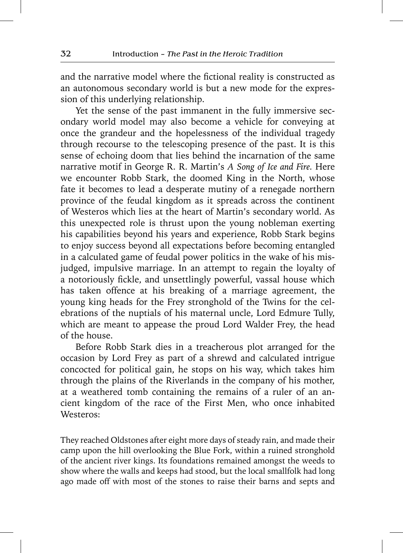and the narrative model where the fictional reality is constructed as an autonomous secondary world is but a new mode for the expression of this underlying relationship.

Yet the sense of the past immanent in the fully immersive secondary world model may also become a vehicle for conveying at once the grandeur and the hopelessness of the individual tragedy through recourse to the telescoping presence of the past. It is this sense of echoing doom that lies behind the incarnation of the same narrative motif in George R. R. Martin's *A Song of Ice and Fire.* Here we encounter Robb Stark, the doomed King in the North, whose fate it becomes to lead a desperate mutiny of a renegade northern province of the feudal kingdom as it spreads across the continent of Westeros which lies at the heart of Martin's secondary world. As this unexpected role is thrust upon the young nobleman exerting his capabilities beyond his years and experience, Robb Stark begins to enjoy success beyond all expectations before becoming entangled in a calculated game of feudal power politics in the wake of his misjudged, impulsive marriage. In an attempt to regain the loyalty of a notoriously fickle, and unsettlingly powerful, vassal house which has taken offence at his breaking of a marriage agreement, the young king heads for the Frey stronghold of the Twins for the celebrations of the nuptials of his maternal uncle, Lord Edmure Tully, which are meant to appease the proud Lord Walder Frey, the head of the house.

Before Robb Stark dies in a treacherous plot arranged for the occasion by Lord Frey as part of a shrewd and calculated intrigue concocted for political gain, he stops on his way, which takes him through the plains of the Riverlands in the company of his mother, at a weathered tomb containing the remains of a ruler of an ancient kingdom of the race of the First Men, who once inhabited Westeros:

They reached Oldstones after eight more days of steady rain, and made their camp upon the hill overlooking the Blue Fork, within a ruined stronghold of the ancient river kings. Its foundations remained amongst the weeds to show where the walls and keeps had stood, but the local smallfolk had long ago made off with most of the stones to raise their barns and septs and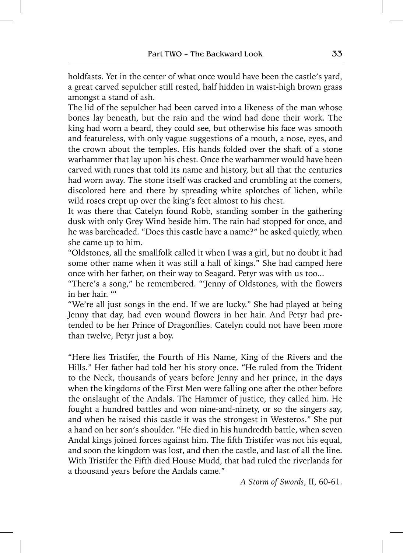holdfasts. Yet in the center of what once would have been the castle's yard, a great carved sepulcher still rested, half hidden in waist-high brown grass amongst a stand of ash.

The lid of the sepulcher had been carved into a likeness of the man whose bones lay beneath, but the rain and the wind had done their work. The king had worn a beard, they could see, but otherwise his face was smooth and featureless, with only vague suggestions of a mouth, a nose, eyes, and the crown about the temples. His hands folded over the shaft of a stone warhammer that lay upon his chest. Once the warhammer would have been carved with runes that told its name and history, but all that the centuries had worn away. The stone itself was cracked and crumbling at the comers, discolored here and there by spreading white splotches of lichen, while wild roses crept up over the king's feet almost to his chest.

It was there that Catelyn found Robb, standing somber in the gathering dusk with only Grey Wind beside him. The rain had stopped for once, and he was bareheaded. "Does this castle have a name?" he asked quietly, when she came up to him.

"Oldstones, all the smallfolk called it when I was a girl, but no doubt it had some other name when it was still a hall of kings." She had camped here once with her father, on their way to Seagard. Petyr was with us too...

"There's a song," he remembered. "'Jenny of Oldstones, with the flowers in her hair. "'

"We're all just songs in the end. If we are lucky." She had played at being Jenny that day, had even wound flowers in her hair. And Petyr had pretended to be her Prince of Dragonflies. Catelyn could not have been more than twelve, Petyr just a boy.

"Here lies Tristifer, the Fourth of His Name, King of the Rivers and the Hills." Her father had told her his story once. "He ruled from the Trident to the Neck, thousands of years before Jenny and her prince, in the days when the kingdoms of the First Men were falling one after the other before the onslaught of the Andals. The Hammer of justice, they called him. He fought a hundred battles and won nine-and-ninety, or so the singers say, and when he raised this castle it was the strongest in Westeros." She put a hand on her son's shoulder. "He died in his hundredth battle, when seven Andal kings joined forces against him. The fifth Tristifer was not his equal, and soon the kingdom was lost, and then the castle, and last of all the line. With Tristifer the Fifth died House Mudd, that had ruled the riverlands for a thousand years before the Andals came."

*A Storm of Swords*, II, 60-61.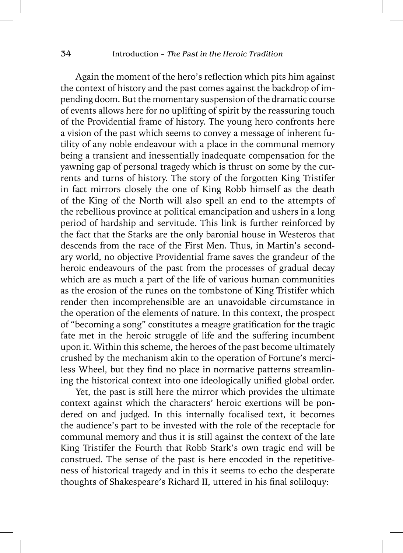Again the moment of the hero's reflection which pits him against the context of history and the past comes against the backdrop of impending doom. But the momentary suspension of the dramatic course of events allows here for no uplifting of spirit by the reassuring touch of the Providential frame of history. The young hero confronts here a vision of the past which seems to convey a message of inherent futility of any noble endeavour with a place in the communal memory being a transient and inessentially inadequate compensation for the yawning gap of personal tragedy which is thrust on some by the currents and turns of history. The story of the forgotten King Tristifer in fact mirrors closely the one of King Robb himself as the death of the King of the North will also spell an end to the attempts of the rebellious province at political emancipation and ushers in a long period of hardship and servitude. This link is further reinforced by the fact that the Starks are the only baronial house in Westeros that descends from the race of the First Men. Thus, in Martin's secondary world, no objective Providential frame saves the grandeur of the heroic endeavours of the past from the processes of gradual decay which are as much a part of the life of various human communities as the erosion of the runes on the tombstone of King Tristifer which render then incomprehensible are an unavoidable circumstance in the operation of the elements of nature. In this context, the prospect of "becoming a song" constitutes a meagre gratification for the tragic fate met in the heroic struggle of life and the suffering incumbent upon it. Within this scheme, the heroes of the past become ultimately crushed by the mechanism akin to the operation of Fortune's merciless Wheel, but they find no place in normative patterns streamlining the historical context into one ideologically unified global order.

Yet, the past is still here the mirror which provides the ultimate context against which the characters' heroic exertions will be pondered on and judged. In this internally focalised text, it becomes the audience's part to be invested with the role of the receptacle for communal memory and thus it is still against the context of the late King Tristifer the Fourth that Robb Stark's own tragic end will be construed. The sense of the past is here encoded in the repetitiveness of historical tragedy and in this it seems to echo the desperate thoughts of Shakespeare's Richard II, uttered in his final soliloquy: